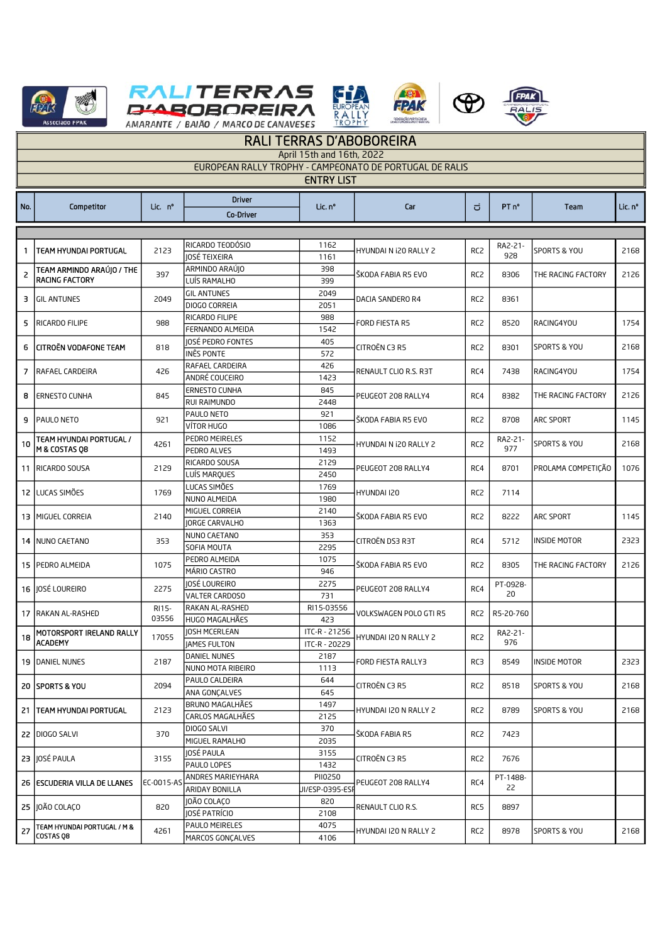





R



| <b>RALI TERRAS D'ABOBOREIRA</b>                         |                                                    |                |                                 |                 |                                                                   |                                           |                                |                              |              |  |  |
|---------------------------------------------------------|----------------------------------------------------|----------------|---------------------------------|-----------------|-------------------------------------------------------------------|-------------------------------------------|--------------------------------|------------------------------|--------------|--|--|
| April 15th and 16th, 2022                               |                                                    |                |                                 |                 |                                                                   |                                           |                                |                              |              |  |  |
| EUROPEAN RALLY TROPHY - CAMPEONATO DE PORTUGAL DE RALIS |                                                    |                |                                 |                 |                                                                   |                                           |                                |                              |              |  |  |
| <b>ENTRY LIST</b>                                       |                                                    |                |                                 |                 |                                                                   |                                           |                                |                              |              |  |  |
|                                                         |                                                    |                | <b>Driver</b>                   |                 |                                                                   |                                           |                                |                              |              |  |  |
| No.                                                     | Competitor                                         | Lic. nº        | <b>Co-Driver</b>                | Lic. nº         | Car                                                               | $\overline{C}$                            | PT <sub>n</sub> °              | Team                         | Lic. nº      |  |  |
|                                                         |                                                    |                |                                 |                 |                                                                   |                                           |                                |                              |              |  |  |
|                                                         |                                                    |                |                                 |                 |                                                                   |                                           |                                |                              |              |  |  |
| 1.                                                      | <b>TEAM HYUNDAI PORTUGAL</b>                       | 2123           | RICARDO TEODÓSIO                | 1162            | HYUNDAI N i20 RALLY 2                                             | RC <sub>2</sub>                           | RA2-21-                        | SPORTS & YOU                 | 2168         |  |  |
|                                                         |                                                    |                | JOSÉ TEIXEIRA                   | 1161            | ŠKODA FABIA R5 EVO                                                | RC <sub>2</sub>                           | 928<br>8306                    | THE RACING FACTORY           | 2126         |  |  |
| $\overline{2}$                                          | TEAM ARMINDO ARAÚJO / THE<br><b>RACING FACTORY</b> | 397            | ARMINDO ARAÚJO<br>LUÍS RAMALHO  | 398             |                                                                   |                                           |                                |                              |              |  |  |
|                                                         | <b>3 GIL ANTUNES</b>                               | 2049           | <b>GIL ANTUNES</b>              | 399<br>2049     | DACIA SANDERO R4                                                  | RC <sub>2</sub>                           | 8361                           |                              |              |  |  |
|                                                         |                                                    |                | DIOGO CORREIA                   | 2051            |                                                                   |                                           |                                |                              |              |  |  |
|                                                         | <b>RICARDO FILIPE</b>                              |                | RICARDO FILIPE                  | 988             |                                                                   | RC <sub>2</sub>                           | 8520                           |                              |              |  |  |
| 5                                                       |                                                    | 988            | FERNANDO ALMEIDA                | 1542            | FORD FIESTA R5                                                    |                                           |                                | RACING4YOU                   | 1754         |  |  |
|                                                         |                                                    |                | JOSÉ PEDRO FONTES               | 405             | CITROËN C3 R5                                                     |                                           | 8301                           |                              |              |  |  |
| 6                                                       | <b>CITROËN VODAFONE TEAM</b>                       | 818            | INÊS PONTE                      | 572             |                                                                   | RC <sub>2</sub>                           |                                | SPORTS & YOU                 | 2168         |  |  |
|                                                         |                                                    |                | RAFAEL CARDEIRA                 | 426             | RENAULT CLIO R.S. R3T                                             | RC4                                       | 7438                           | RACING4YOU                   | 1754         |  |  |
| 7                                                       | RAFAEL CARDEIRA                                    | 426            | ANDRÉ COUCEIRO                  | 1423            |                                                                   |                                           |                                |                              |              |  |  |
| 8                                                       | <b>ERNESTO CUNHA</b>                               | 845            | <b>ERNESTO CUNHA</b>            | 845             | PEUGEOT 208 RALLY4                                                | RC4                                       | 8382                           | THE RACING FACTORY           | 2126         |  |  |
|                                                         |                                                    |                | RUI RAIMUNDO                    | 2448            |                                                                   |                                           |                                |                              |              |  |  |
|                                                         | 9 PAULO NETO                                       | 921            | PAULO NETO                      | 921             | ŠKODA FABIA R5 EVO<br>HYUNDAI N i20 RALLY 2<br>PEUGEOT 208 RALLY4 | RC <sub>2</sub><br>RC <sub>2</sub><br>RC4 | 8708<br>RA2-21-<br>977<br>8701 | ARC SPORT<br>SPORTS & YOU    | 1145<br>2168 |  |  |
|                                                         |                                                    |                | VÍTOR HUGO                      | 1086            |                                                                   |                                           |                                |                              |              |  |  |
| 10                                                      | TEAM HYUNDAI PORTUGAL /                            | 4261           | PEDRO MEIRELES                  | 1152            |                                                                   |                                           |                                |                              |              |  |  |
|                                                         | M & COSTAS Q8                                      |                | PEDRO ALVES                     | 1493            |                                                                   |                                           |                                |                              |              |  |  |
|                                                         | 11 RICARDO SOUSA                                   | 2129           | RICARDO SOUSA                   | 2129            |                                                                   |                                           |                                | PROLAMA COMPETIÇÃO           | 1076         |  |  |
|                                                         |                                                    |                | LUÍS MARQUES<br>LUCAS SIMÕES    | 2450<br>1769    | HYUNDAI I20<br>ŠKODA FABIA R5 EVO<br>CITROËN DS3 R3T              | RC <sub>2</sub><br>RC <sub>2</sub><br>RC4 | 7114<br>8222<br>5712           |                              |              |  |  |
|                                                         | 12 LUCAS SIMÕES                                    | 1769           | NUNO ALMEIDA                    | 1980            |                                                                   |                                           |                                |                              |              |  |  |
|                                                         |                                                    |                | MIGUEL CORREIA                  | 2140            |                                                                   |                                           |                                |                              |              |  |  |
|                                                         | <b>13 MIGUEL CORREIA</b>                           | 2140           | <b>JORGE CARVALHO</b>           | 1363            |                                                                   |                                           |                                | ARC SPORT                    | 1145         |  |  |
|                                                         |                                                    |                | NUNO CAETANO                    | 353             |                                                                   |                                           |                                |                              |              |  |  |
|                                                         | 14   NUNO CAETANO                                  | 353            | SOFIA MOUTA                     | 2295            |                                                                   |                                           |                                | <b>INSIDE MOTOR</b>          | 2323         |  |  |
|                                                         |                                                    |                | PEDRO ALMEIDA                   | 1075            |                                                                   | RC <sub>2</sub>                           | 8305                           | THE RACING FACTORY           | 2126         |  |  |
|                                                         | 15 PEDRO ALMEIDA                                   | 1075           | MÁRIO CASTRO                    | 946             | ŠKODA FABIA R5 EVO                                                |                                           |                                |                              |              |  |  |
|                                                         | 16 IOSÉ LOUREIRO                                   | 2275           | JOSÉ LOUREIRO                   | 2275            | PEUGEOT 208 RALLY4                                                | RC4                                       | PT-0928-<br>20                 |                              |              |  |  |
|                                                         |                                                    |                | VALTER CARDOSO                  | 731             |                                                                   |                                           |                                |                              |              |  |  |
|                                                         | 17 RAKAN AL-RASHED                                 | RI15-<br>03556 | RAKAN AL-RASHED                 | RI15-03556      | VOLKSWAGEN POLO GTI R5                                            | RC2                                       | R5-20-760                      |                              |              |  |  |
|                                                         |                                                    |                | HUGO MAGALHÃES                  | 423             |                                                                   |                                           |                                |                              |              |  |  |
|                                                         | 18 MOTORSPORT IRELAND RALLY                        | 17055          | JOSH MCERLEAN                   | ITC-R - 21256   | HYUNDAI I20 N RALLY 2                                             | RC2                                       | RA2-21-<br>976                 |                              |              |  |  |
|                                                         | <b>ACADEMY</b>                                     |                | <b>JAMES FULTON</b>             | ITC-R - 20229   |                                                                   |                                           |                                |                              |              |  |  |
|                                                         | <b>19 DANIEL NUNES</b>                             | 2187<br>2094   | DANIEL NUNES                    | 2187            | FORD FIESTA RALLY3                                                | RC3                                       | 8549                           | INSIDE MOTOR<br>SPORTS & YOU | 2323<br>2168 |  |  |
|                                                         |                                                    |                | NUNO MOTA RIBEIRO               | 1113            |                                                                   |                                           |                                |                              |              |  |  |
|                                                         | <b>20 SPORTS &amp; YOU</b>                         |                | PAULO CALDEIRA<br>ANA GONCALVES | 644<br>645      | CITROËN C3 R5                                                     | RC <sub>2</sub>                           | 8518                           |                              |              |  |  |
|                                                         | 21   TEAM HYUNDAI PORTUGAL<br>22 DIOGO SALVI       | 2123<br>370    | BRUNO MAGALHÃES                 | 1497            | HYUNDAI I20 N RALLY 2<br>ŠKODA FABIA R5                           | RC <sub>2</sub><br>RC2                    | 8789<br>7423                   | SPORTS & YOU                 |              |  |  |
|                                                         |                                                    |                | CARLOS MAGALHÃES                | 2125            |                                                                   |                                           |                                |                              | 2168         |  |  |
|                                                         |                                                    |                | DIOGO SALVI                     | 370             |                                                                   |                                           |                                |                              |              |  |  |
|                                                         |                                                    |                | MIGUEL RAMALHO                  | 2035            |                                                                   |                                           |                                |                              |              |  |  |
|                                                         | 23 JOSÉ PAULA                                      | 3155           | JOSÉ PAULA                      | 3155            | CITROËN C3 R5                                                     | RC2                                       |                                |                              |              |  |  |
|                                                         |                                                    |                | PAULO LOPES                     | 1432            |                                                                   |                                           | 7676                           |                              |              |  |  |
|                                                         | 26 ESCUDERIA VILLA DE LLANES                       | EC-0015-AS     | ANDRES MARIEYHARA               | PII0250         | PEUGEOT 208 RALLY4                                                | RC4                                       | PT-1488-<br>22                 |                              |              |  |  |
|                                                         |                                                    |                | ARIDAY BONILLA                  | JI/ESP-0395-ESI |                                                                   |                                           |                                |                              |              |  |  |
|                                                         | 25   JOÃO COLACO                                   | 820            | JOÃO COLAÇO                     | 820             | RENAULT CLIO R.S.                                                 | RC5                                       | 8897                           |                              |              |  |  |
|                                                         |                                                    |                | JOSÉ PATRÍCIO                   | 2108            |                                                                   |                                           |                                |                              |              |  |  |
|                                                         | 27 TEAM HYUNDAI PORTUGAL / M &                     | 4261           | PAULO MEIRELES                  | 4075            | HYUNDAI I20 N RALLY 2                                             | RC <sub>2</sub>                           | 8978                           | SPORTS & YOU                 | 2168         |  |  |
|                                                         | COSTAS Q8                                          |                | MARCOS GONÇALVES                | 4106            |                                                                   |                                           |                                |                              |              |  |  |